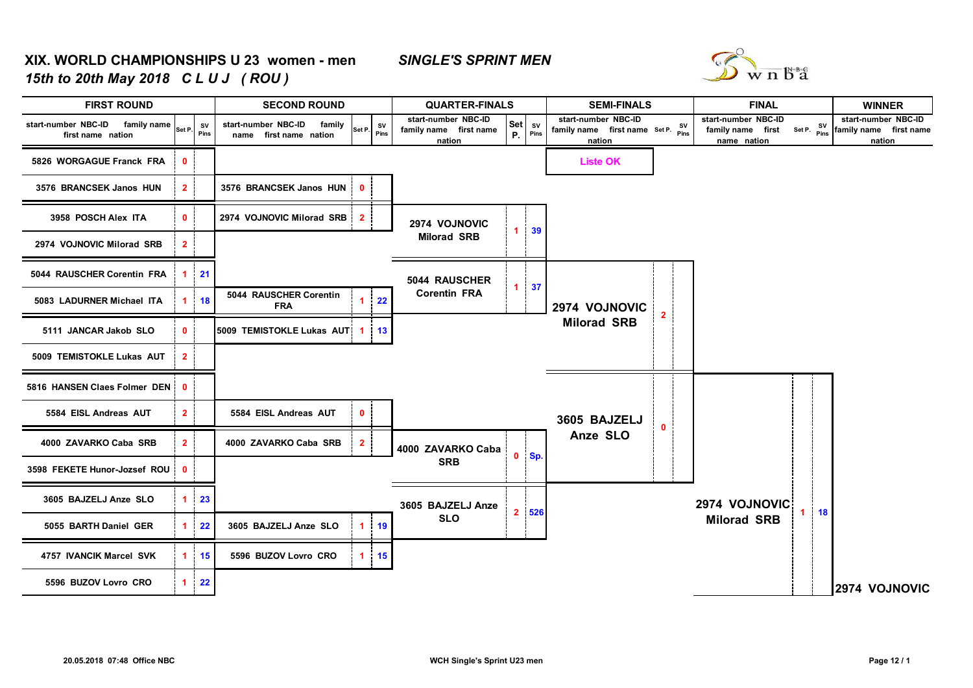## **XIX. WORLD CHAMPIONSHIPS U 23 women - men** *SINGLE'S SPRINT MEN15th to 20th May 2018 C L U J ( ROU )*